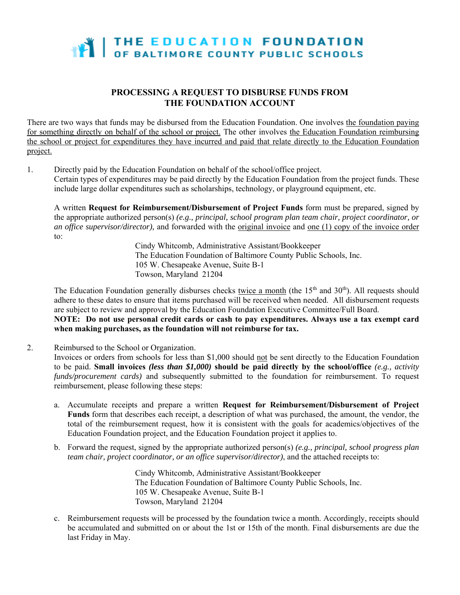

## **PROCESSING A REQUEST TO DISBURSE FUNDS FROM THE FOUNDATION ACCOUNT**

There are two ways that funds may be disbursed from the Education Foundation. One involves the foundation paying for something directly on behalf of the school or project. The other involves the Education Foundation reimbursing the school or project for expenditures they have incurred and paid that relate directly to the Education Foundation project.

1. Directly paid by the Education Foundation on behalf of the school/office project. Certain types of expenditures may be paid directly by the Education Foundation from the project funds. These include large dollar expenditures such as scholarships, technology, or playground equipment, etc.

A written **Request for Reimbursement/Disbursement of Project Funds** form must be prepared, signed by the appropriate authorized person(s) *(e.g., principal, school program plan team chair, project coordinator, or an office supervisor/director),* and forwarded with the original invoice and one (1) copy of the invoice order to:

> Cindy Whitcomb, Administrative Assistant/Bookkeeper The Education Foundation of Baltimore County Public Schools, Inc. 105 W. Chesapeake Avenue, Suite B-1 Towson, Maryland 21204

The Education Foundation generally disburses checks twice a month (the 15<sup>th</sup> and 30<sup>th</sup>). All requests should adhere to these dates to ensure that items purchased will be received when needed. All disbursement requests are subject to review and approval by the Education Foundation Executive Committee/Full Board.

**NOTE: Do not use personal credit cards or cash to pay expenditures. Always use a tax exempt card when making purchases, as the foundation will not reimburse for tax.** 

2. Reimbursed to the School or Organization.

Invoices or orders from schools for less than \$1,000 should not be sent directly to the Education Foundation to be paid. **Small invoices** *(less than \$1,000)* **should be paid directly by the school/office** *(e.g., activity funds/procurement cards)* and subsequently submitted to the foundation for reimbursement. To request reimbursement, please following these steps:

- a. Accumulate receipts and prepare a written **Request for Reimbursement/Disbursement of Project Funds** form that describes each receipt, a description of what was purchased, the amount, the vendor, the total of the reimbursement request, how it is consistent with the goals for academics/objectives of the Education Foundation project, and the Education Foundation project it applies to.
- b. Forward the request, signed by the appropriate authorized person(s) *(e.g., principal, school progress plan team chair, project coordinator, or an office supervisor/director)*, and the attached receipts to:

Cindy Whitcomb, Administrative Assistant/Bookkeeper The Education Foundation of Baltimore County Public Schools, Inc. 105 W. Chesapeake Avenue, Suite B-1 Towson, Maryland 21204

c. Reimbursement requests will be processed by the foundation twice a month. Accordingly, receipts should be accumulated and submitted on or about the 1st or 15th of the month. Final disbursements are due the last Friday in May.